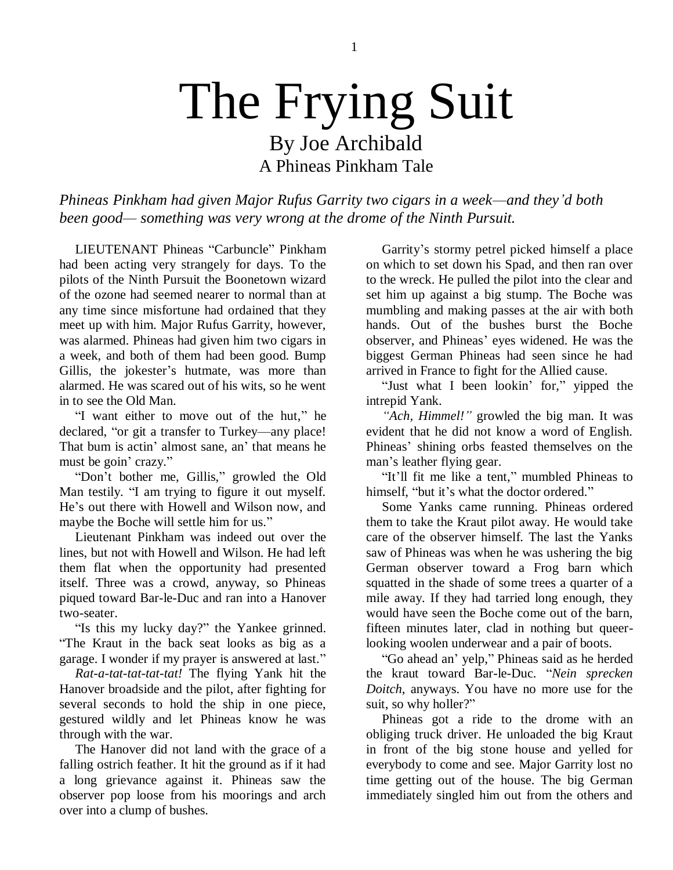## The Frying Suit By Joe Archibald

A Phineas Pinkham Tale

*Phineas Pinkham had given Major Rufus Garrity two cigars in a week—and they'd both been good— something was very wrong at the drome of the Ninth Pursuit.*

LIEUTENANT Phineas "Carbuncle" Pinkham had been acting very strangely for days. To the pilots of the Ninth Pursuit the Boonetown wizard of the ozone had seemed nearer to normal than at any time since misfortune had ordained that they meet up with him. Major Rufus Garrity, however, was alarmed. Phineas had given him two cigars in a week, and both of them had been good. Bump Gillis, the jokester's hutmate, was more than alarmed. He was scared out of his wits, so he went in to see the Old Man.

"I want either to move out of the hut," he declared, "or git a transfer to Turkey—any place! That bum is actin' almost sane, an' that means he must be goin' crazy."

"Don"t bother me, Gillis," growled the Old Man testily. "I am trying to figure it out myself. He's out there with Howell and Wilson now, and maybe the Boche will settle him for us."

Lieutenant Pinkham was indeed out over the lines, but not with Howell and Wilson. He had left them flat when the opportunity had presented itself. Three was a crowd, anyway, so Phineas piqued toward Bar-le-Duc and ran into a Hanover two-seater.

"Is this my lucky day?" the Yankee grinned. "The Kraut in the back seat looks as big as a garage. I wonder if my prayer is answered at last."

*Rat-a-tat-tat-tat-tat!* The flying Yank hit the Hanover broadside and the pilot, after fighting for several seconds to hold the ship in one piece, gestured wildly and let Phineas know he was through with the war.

The Hanover did not land with the grace of a falling ostrich feather. It hit the ground as if it had a long grievance against it. Phineas saw the observer pop loose from his moorings and arch over into a clump of bushes.

Garrity"s stormy petrel picked himself a place on which to set down his Spad, and then ran over to the wreck. He pulled the pilot into the clear and set him up against a big stump. The Boche was mumbling and making passes at the air with both hands. Out of the bushes burst the Boche observer, and Phineas" eyes widened. He was the biggest German Phineas had seen since he had arrived in France to fight for the Allied cause.

"Just what I been lookin" for," yipped the intrepid Yank.

*"Ach, Himmel!"* growled the big man. It was evident that he did not know a word of English. Phineas" shining orbs feasted themselves on the man"s leather flying gear.

"It"ll fit me like a tent," mumbled Phineas to himself. "but it's what the doctor ordered."

Some Yanks came running. Phineas ordered them to take the Kraut pilot away. He would take care of the observer himself. The last the Yanks saw of Phineas was when he was ushering the big German observer toward a Frog barn which squatted in the shade of some trees a quarter of a mile away. If they had tarried long enough, they would have seen the Boche come out of the barn, fifteen minutes later, clad in nothing but queerlooking woolen underwear and a pair of boots.

"Go ahead an" yelp," Phineas said as he herded the kraut toward Bar-le-Duc. "*Nein sprecken Doitch*, anyways. You have no more use for the suit, so why holler?"

Phineas got a ride to the drome with an obliging truck driver. He unloaded the big Kraut in front of the big stone house and yelled for everybody to come and see. Major Garrity lost no time getting out of the house. The big German immediately singled him out from the others and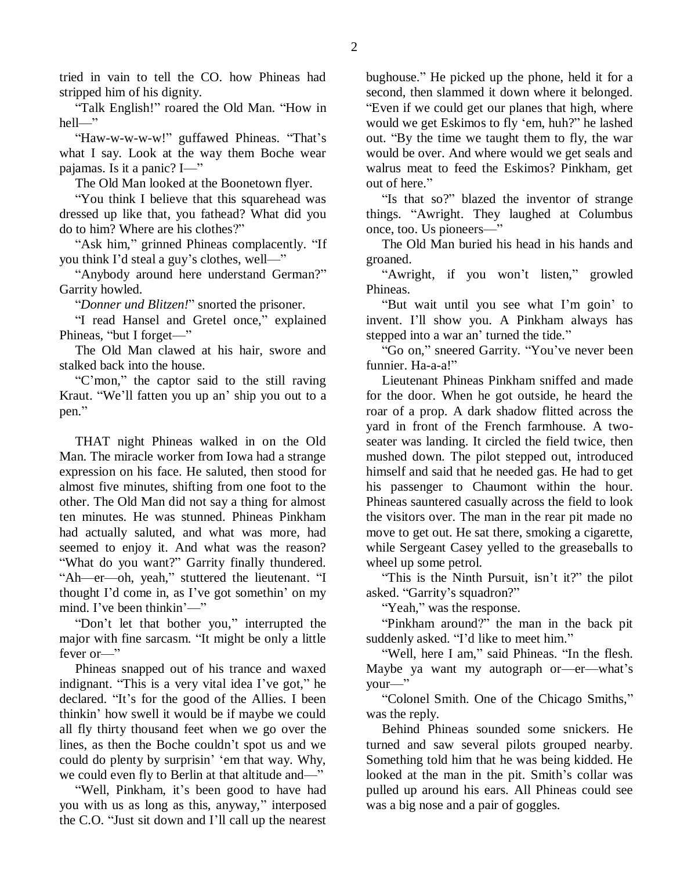tried in vain to tell the CO. how Phineas had stripped him of his dignity.

"Talk English!" roared the Old Man. "How in hell—"

"Haw-w-w-w-w!" guffawed Phineas. "That's what I say. Look at the way them Boche wear pajamas. Is it a panic? I—"

The Old Man looked at the Boonetown flyer.

"You think I believe that this squarehead was dressed up like that, you fathead? What did you do to him? Where are his clothes?"

"Ask him," grinned Phineas complacently. "If you think I"d steal a guy"s clothes, well—"

"Anybody around here understand German?" Garrity howled.

"*Donner und Blitzen!*" snorted the prisoner.

"I read Hansel and Gretel once," explained Phineas, "but I forget—"

The Old Man clawed at his hair, swore and stalked back into the house.

"C"mon," the captor said to the still raving Kraut. "We"ll fatten you up an" ship you out to a pen."

THAT night Phineas walked in on the Old Man. The miracle worker from Iowa had a strange expression on his face. He saluted, then stood for almost five minutes, shifting from one foot to the other. The Old Man did not say a thing for almost ten minutes. He was stunned. Phineas Pinkham had actually saluted, and what was more, had seemed to enjoy it. And what was the reason? "What do you want?" Garrity finally thundered. "Ah—er—oh, yeah," stuttered the lieutenant. "I thought I"d come in, as I"ve got somethin" on my mind. I've been thinkin'—"

"Don"t let that bother you," interrupted the major with fine sarcasm. "It might be only a little fever or—"

Phineas snapped out of his trance and waxed indignant. "This is a very vital idea I"ve got," he declared. "It"s for the good of the Allies. I been thinkin" how swell it would be if maybe we could all fly thirty thousand feet when we go over the lines, as then the Boche couldn"t spot us and we could do plenty by surprisin' 'em that way. Why, we could even fly to Berlin at that altitude and—"

"Well, Pinkham, it's been good to have had you with us as long as this, anyway," interposed the C.O. "Just sit down and I"ll call up the nearest

bughouse." He picked up the phone, held it for a second, then slammed it down where it belonged. "Even if we could get our planes that high, where would we get Eskimos to fly "em, huh?" he lashed out. "By the time we taught them to fly, the war would be over. And where would we get seals and walrus meat to feed the Eskimos? Pinkham, get out of here."

"Is that so?" blazed the inventor of strange things. "Awright. They laughed at Columbus once, too. Us pioneers—"

The Old Man buried his head in his hands and groaned.

"Awright, if you won"t listen," growled Phineas.

"But wait until you see what I"m goin" to invent. I"ll show you. A Pinkham always has stepped into a war an' turned the tide."

"Go on," sneered Garrity. "You"ve never been funnier. Ha-a-a!"

Lieutenant Phineas Pinkham sniffed and made for the door. When he got outside, he heard the roar of a prop. A dark shadow flitted across the yard in front of the French farmhouse. A twoseater was landing. It circled the field twice, then mushed down. The pilot stepped out, introduced himself and said that he needed gas. He had to get his passenger to Chaumont within the hour. Phineas sauntered casually across the field to look the visitors over. The man in the rear pit made no move to get out. He sat there, smoking a cigarette, while Sergeant Casey yelled to the greaseballs to wheel up some petrol.

"This is the Ninth Pursuit, isn't it?" the pilot asked. "Garrity's squadron?"

"Yeah," was the response.

"Pinkham around?" the man in the back pit suddenly asked. "I'd like to meet him."

"Well, here I am," said Phineas. "In the flesh. Maybe ya want my autograph or—er—what's your—"

"Colonel Smith. One of the Chicago Smiths," was the reply.

Behind Phineas sounded some snickers. He turned and saw several pilots grouped nearby. Something told him that he was being kidded. He looked at the man in the pit. Smith's collar was pulled up around his ears. All Phineas could see was a big nose and a pair of goggles.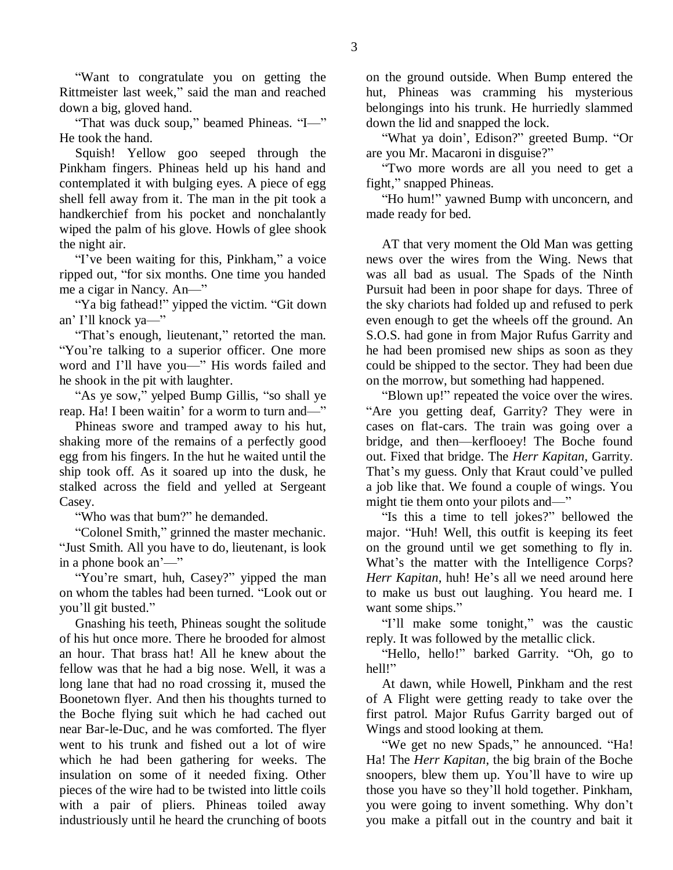"Want to congratulate you on getting the Rittmeister last week," said the man and reached down a big, gloved hand.

"That was duck soup," beamed Phineas. "I—" He took the hand.

Squish! Yellow goo seeped through the Pinkham fingers. Phineas held up his hand and contemplated it with bulging eyes. A piece of egg shell fell away from it. The man in the pit took a handkerchief from his pocket and nonchalantly wiped the palm of his glove. Howls of glee shook the night air.

"I've been waiting for this, Pinkham," a voice ripped out, "for six months. One time you handed me a cigar in Nancy. An—"

"Ya big fathead!" yipped the victim. "Git down an" I"ll knock ya—"

"That's enough, lieutenant," retorted the man. "You're talking to a superior officer. One more word and I"ll have you—" His words failed and he shook in the pit with laughter.

"As ye sow," yelped Bump Gillis, "so shall ye reap. Ha! I been waitin' for a worm to turn and—"

Phineas swore and tramped away to his hut, shaking more of the remains of a perfectly good egg from his fingers. In the hut he waited until the ship took off. As it soared up into the dusk, he stalked across the field and yelled at Sergeant Casey.

"Who was that bum?" he demanded.

"Colonel Smith," grinned the master mechanic. "Just Smith. All you have to do, lieutenant, is look in a phone book an'—"

"You"re smart, huh, Casey?" yipped the man on whom the tables had been turned. "Look out or you"ll git busted."

Gnashing his teeth, Phineas sought the solitude of his hut once more. There he brooded for almost an hour. That brass hat! All he knew about the fellow was that he had a big nose. Well, it was a long lane that had no road crossing it, mused the Boonetown flyer. And then his thoughts turned to the Boche flying suit which he had cached out near Bar-le-Duc, and he was comforted. The flyer went to his trunk and fished out a lot of wire which he had been gathering for weeks. The insulation on some of it needed fixing. Other pieces of the wire had to be twisted into little coils with a pair of pliers. Phineas toiled away industriously until he heard the crunching of boots

on the ground outside. When Bump entered the hut, Phineas was cramming his mysterious belongings into his trunk. He hurriedly slammed down the lid and snapped the lock.

"What ya doin", Edison?" greeted Bump. "Or are you Mr. Macaroni in disguise?"

"Two more words are all you need to get a fight," snapped Phineas.

"Ho hum!" yawned Bump with unconcern, and made ready for bed.

AT that very moment the Old Man was getting news over the wires from the Wing. News that was all bad as usual. The Spads of the Ninth Pursuit had been in poor shape for days. Three of the sky chariots had folded up and refused to perk even enough to get the wheels off the ground. An S.O.S. had gone in from Major Rufus Garrity and he had been promised new ships as soon as they could be shipped to the sector. They had been due on the morrow, but something had happened.

"Blown up!" repeated the voice over the wires. "Are you getting deaf, Garrity? They were in cases on flat-cars. The train was going over a bridge, and then—kerflooey! The Boche found out. Fixed that bridge. The *Herr Kapitan*, Garrity. That's my guess. Only that Kraut could've pulled a job like that. We found a couple of wings. You might tie them onto your pilots and—"

"Is this a time to tell jokes?" bellowed the major. "Huh! Well, this outfit is keeping its feet on the ground until we get something to fly in. What's the matter with the Intelligence Corps? *Herr Kapitan*, huh! He's all we need around here to make us bust out laughing. You heard me. I want some ships."

"I"ll make some tonight," was the caustic reply. It was followed by the metallic click.

"Hello, hello!" barked Garrity. "Oh, go to hell!"

At dawn, while Howell, Pinkham and the rest of A Flight were getting ready to take over the first patrol. Major Rufus Garrity barged out of Wings and stood looking at them.

"We get no new Spads," he announced. "Ha! Ha! The *Herr Kapitan*, the big brain of the Boche snoopers, blew them up. You"ll have to wire up those you have so they"ll hold together. Pinkham, you were going to invent something. Why don"t you make a pitfall out in the country and bait it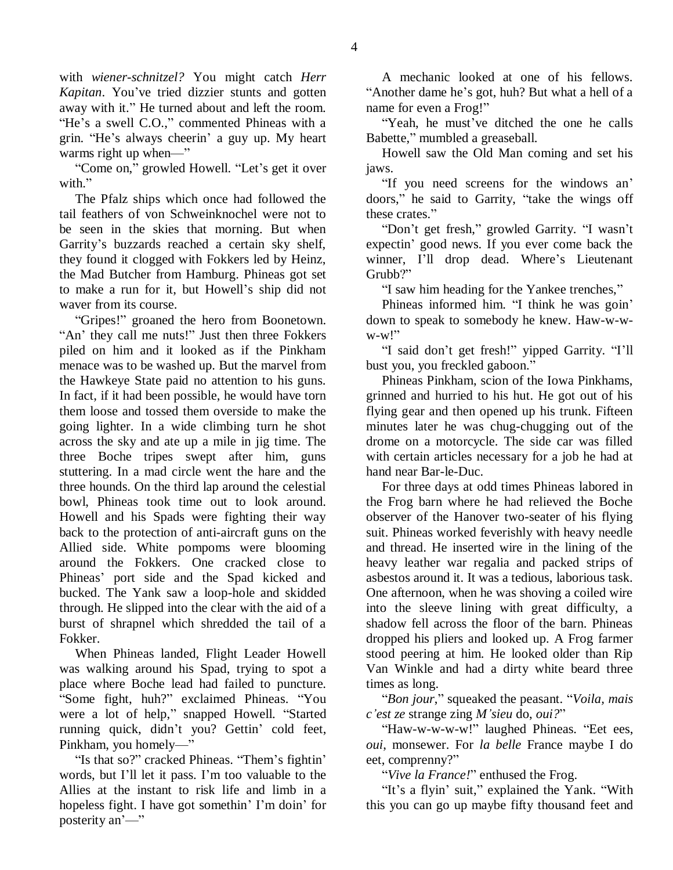with *wiener-schnitzel?* You might catch *Herr Kapitan*. You"ve tried dizzier stunts and gotten away with it." He turned about and left the room. "He's a swell C.O.," commented Phineas with a grin. "He"s always cheerin" a guy up. My heart warms right up when—"

"Come on," growled Howell. "Let's get it over with."

The Pfalz ships which once had followed the tail feathers of von Schweinknochel were not to be seen in the skies that morning. But when Garrity"s buzzards reached a certain sky shelf, they found it clogged with Fokkers led by Heinz, the Mad Butcher from Hamburg. Phineas got set to make a run for it, but Howell"s ship did not waver from its course.

"Gripes!" groaned the hero from Boonetown. "An" they call me nuts!" Just then three Fokkers piled on him and it looked as if the Pinkham menace was to be washed up. But the marvel from the Hawkeye State paid no attention to his guns. In fact, if it had been possible, he would have torn them loose and tossed them overside to make the going lighter. In a wide climbing turn he shot across the sky and ate up a mile in jig time. The three Boche tripes swept after him, guns stuttering. In a mad circle went the hare and the three hounds. On the third lap around the celestial bowl, Phineas took time out to look around. Howell and his Spads were fighting their way back to the protection of anti-aircraft guns on the Allied side. White pompoms were blooming around the Fokkers. One cracked close to Phineas" port side and the Spad kicked and bucked. The Yank saw a loop-hole and skidded through. He slipped into the clear with the aid of a burst of shrapnel which shredded the tail of a Fokker.

When Phineas landed, Flight Leader Howell was walking around his Spad, trying to spot a place where Boche lead had failed to puncture. "Some fight, huh?" exclaimed Phineas. "You were a lot of help," snapped Howell. "Started running quick, didn't you? Gettin' cold feet, Pinkham, you homely—"

"Is that so?" cracked Phineas. "Them's fightin" words, but I"ll let it pass. I"m too valuable to the Allies at the instant to risk life and limb in a hopeless fight. I have got somethin' I'm doin' for posterity an'—"

A mechanic looked at one of his fellows. "Another dame he"s got, huh? But what a hell of a name for even a Frog!"

"Yeah, he must've ditched the one he calls Babette," mumbled a greaseball.

Howell saw the Old Man coming and set his jaws.

"If you need screens for the windows an" doors," he said to Garrity, "take the wings off these crates."

"Don"t get fresh," growled Garrity. "I wasn"t expectin" good news. If you ever come back the winner, I'll drop dead. Where's Lieutenant Grubb?"

"I saw him heading for the Yankee trenches,"

Phineas informed him. "I think he was goin" down to speak to somebody he knew. Haw-w-w- $W-W$ !"

"I said don"t get fresh!" yipped Garrity. "I"ll bust you, you freckled gaboon."

Phineas Pinkham, scion of the Iowa Pinkhams, grinned and hurried to his hut. He got out of his flying gear and then opened up his trunk. Fifteen minutes later he was chug-chugging out of the drome on a motorcycle. The side car was filled with certain articles necessary for a job he had at hand near Bar-le-Duc.

For three days at odd times Phineas labored in the Frog barn where he had relieved the Boche observer of the Hanover two-seater of his flying suit. Phineas worked feverishly with heavy needle and thread. He inserted wire in the lining of the heavy leather war regalia and packed strips of asbestos around it. It was a tedious, laborious task. One afternoon, when he was shoving a coiled wire into the sleeve lining with great difficulty, a shadow fell across the floor of the barn. Phineas dropped his pliers and looked up. A Frog farmer stood peering at him. He looked older than Rip Van Winkle and had a dirty white beard three times as long.

"*Bon jour*," squeaked the peasant. "*Voila, mais c'est ze* strange zing *M'sieu* do, *oui?*"

"Haw-w-w-w-w!" laughed Phineas. "Eet ees, *oui*, monsewer. For *la belle* France maybe I do eet, comprenny?"

"*Vive la France!*" enthused the Frog.

"It"s a flyin" suit," explained the Yank. "With this you can go up maybe fifty thousand feet and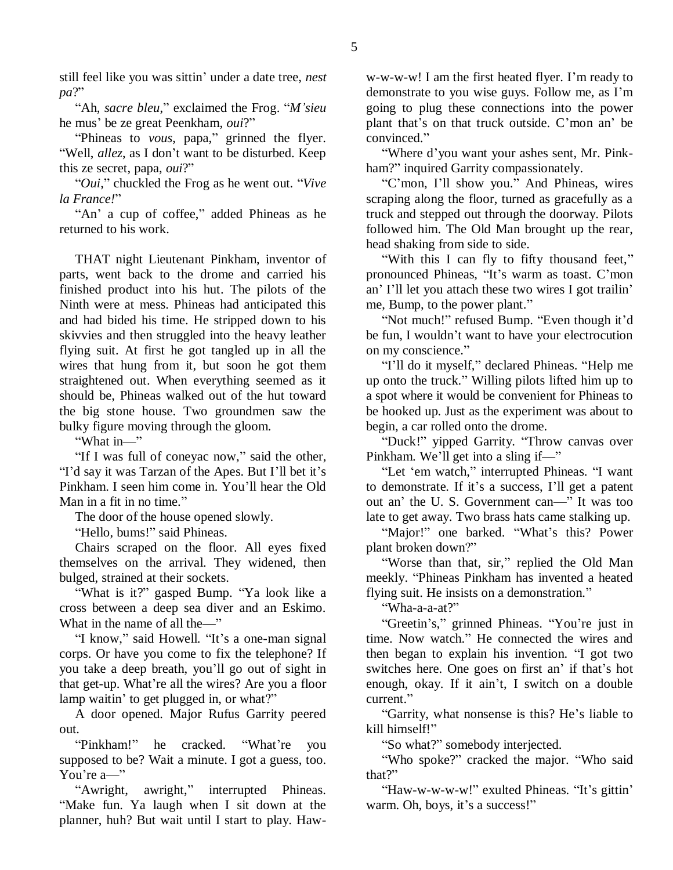still feel like you was sittin' under a date tree, *nest pa*?"

"Ah, *sacre bleu*," exclaimed the Frog. "*M'sieu* he mus" be ze great Peenkham, *oui*?"

"Phineas to *vous*, papa," grinned the flyer. "Well, *allez*, as I don"t want to be disturbed. Keep this ze secret, papa, *oui*?"

"*Oui*," chuckled the Frog as he went out. "*Vive la France!*"

"An" a cup of coffee," added Phineas as he returned to his work.

THAT night Lieutenant Pinkham, inventor of parts, went back to the drome and carried his finished product into his hut. The pilots of the Ninth were at mess. Phineas had anticipated this and had bided his time. He stripped down to his skivvies and then struggled into the heavy leather flying suit. At first he got tangled up in all the wires that hung from it, but soon he got them straightened out. When everything seemed as it should be, Phineas walked out of the hut toward the big stone house. Two groundmen saw the bulky figure moving through the gloom.

"What in—"

"If I was full of coneyac now," said the other, "I"d say it was Tarzan of the Apes. But I"ll bet it"s Pinkham. I seen him come in. You"ll hear the Old Man in a fit in no time."

The door of the house opened slowly.

"Hello, bums!" said Phineas.

Chairs scraped on the floor. All eyes fixed themselves on the arrival. They widened, then bulged, strained at their sockets.

"What is it?" gasped Bump. "Ya look like a cross between a deep sea diver and an Eskimo. What in the name of all the—"

"I know," said Howell. "It's a one-man signal corps. Or have you come to fix the telephone? If you take a deep breath, you"ll go out of sight in that get-up. What"re all the wires? Are you a floor lamp waitin' to get plugged in, or what?"

A door opened. Major Rufus Garrity peered out.

"Pinkham!" he cracked. "What"re you supposed to be? Wait a minute. I got a guess, too. You're a-"

"Awright, awright," interrupted Phineas. "Make fun. Ya laugh when I sit down at the planner, huh? But wait until I start to play. Haw-

w-w-w-w! I am the first heated flyer. I'm ready to demonstrate to you wise guys. Follow me, as I"m going to plug these connections into the power plant that"s on that truck outside. C"mon an" be convinced."

"Where d"you want your ashes sent, Mr. Pinkham?" inquired Garrity compassionately.

"C"mon, I"ll show you." And Phineas, wires scraping along the floor, turned as gracefully as a truck and stepped out through the doorway. Pilots followed him. The Old Man brought up the rear, head shaking from side to side.

"With this I can fly to fifty thousand feet," pronounced Phineas, "It"s warm as toast. C"mon an' I'll let you attach these two wires I got trailin' me, Bump, to the power plant."

"Not much!" refused Bump. "Even though it'd be fun, I wouldn"t want to have your electrocution on my conscience."

"I"ll do it myself," declared Phineas. "Help me up onto the truck." Willing pilots lifted him up to a spot where it would be convenient for Phineas to be hooked up. Just as the experiment was about to begin, a car rolled onto the drome.

"Duck!" yipped Garrity. "Throw canvas over Pinkham. We"ll get into a sling if—"

"Let "em watch," interrupted Phineas. "I want to demonstrate. If it"s a success, I"ll get a patent out an" the U. S. Government can—" It was too late to get away. Two brass hats came stalking up.

"Major!" one barked. "What's this? Power plant broken down?"

"Worse than that, sir," replied the Old Man meekly. "Phineas Pinkham has invented a heated flying suit. He insists on a demonstration."

"Wha-a-a-at?"

"Greetin"s," grinned Phineas. "You"re just in time. Now watch." He connected the wires and then began to explain his invention. "I got two switches here. One goes on first an' if that's hot enough, okay. If it ain"t, I switch on a double current."

"Garrity, what nonsense is this? He"s liable to kill himself!"

"So what?" somebody interjected.

"Who spoke?" cracked the major. "Who said that?"

"Haw-w-w-w-w!" exulted Phineas. "It's gittin" warm. Oh, boys, it's a success!"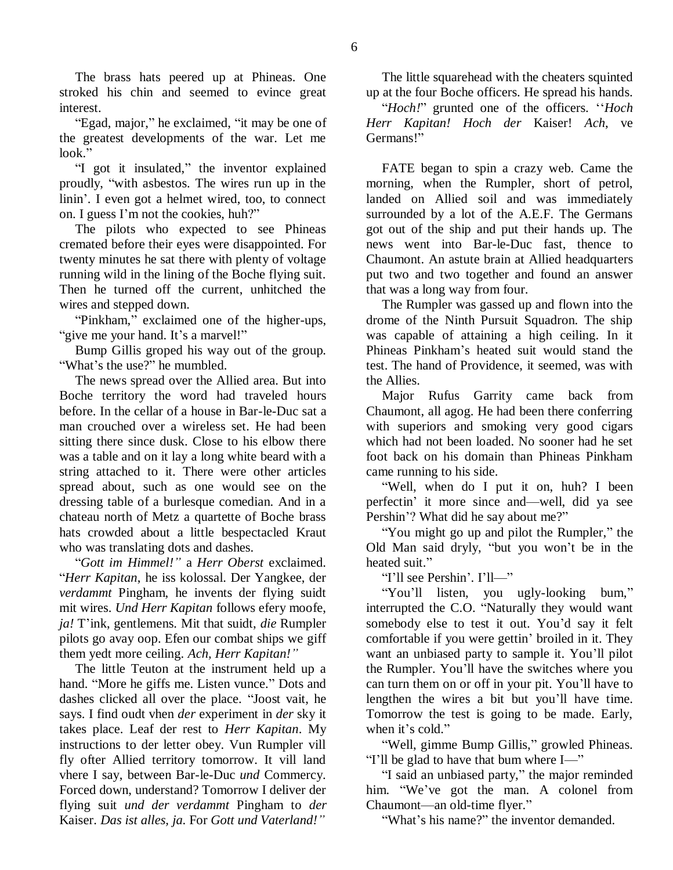The brass hats peered up at Phineas. One stroked his chin and seemed to evince great interest.

"Egad, major," he exclaimed, "it may be one of the greatest developments of the war. Let me look."

"I got it insulated," the inventor explained proudly, "with asbestos. The wires run up in the linin". I even got a helmet wired, too, to connect on. I guess I"m not the cookies, huh?"

The pilots who expected to see Phineas cremated before their eyes were disappointed. For twenty minutes he sat there with plenty of voltage running wild in the lining of the Boche flying suit. Then he turned off the current, unhitched the wires and stepped down.

"Pinkham," exclaimed one of the higher-ups, "give me your hand. It's a marvel!"

Bump Gillis groped his way out of the group. "What's the use?" he mumbled.

The news spread over the Allied area. But into Boche territory the word had traveled hours before. In the cellar of a house in Bar-le-Duc sat a man crouched over a wireless set. He had been sitting there since dusk. Close to his elbow there was a table and on it lay a long white beard with a string attached to it. There were other articles spread about, such as one would see on the dressing table of a burlesque comedian. And in a chateau north of Metz a quartette of Boche brass hats crowded about a little bespectacled Kraut who was translating dots and dashes.

"*Gott im Himmel!"* a *Herr Oberst* exclaimed. "*Herr Kapitan*, he iss kolossal. Der Yangkee, der *verdammt* Pingham, he invents der flying suidt mit wires. *Und Herr Kapitan* follows efery moofe, *ja!* T"ink, gentlemens. Mit that suidt, *die* Rumpler pilots go avay oop. Efen our combat ships we giff them yedt more ceiling. *Ach, Herr Kapitan!"*

The little Teuton at the instrument held up a hand. "More he giffs me. Listen vunce." Dots and dashes clicked all over the place. "Joost vait, he says. I find oudt vhen *der* experiment in *der* sky it takes place. Leaf der rest to *Herr Kapitan*. My instructions to der letter obey. Vun Rumpler vill fly ofter Allied territory tomorrow. It vill land vhere I say, between Bar-le-Duc *und* Commercy. Forced down, understand? Tomorrow I deliver der flying suit *und der verdammt* Pingham to *der* Kaiser. *Das ist alles, ja*. For *Gott und Vaterland!"*

The little squarehead with the cheaters squinted up at the four Boche officers. He spread his hands.

"*Hoch!*" grunted one of the officers. ""*Hoch Herr Kapitan! Hoch der* Kaiser! *Ach*, ve Germans!"

FATE began to spin a crazy web. Came the morning, when the Rumpler, short of petrol, landed on Allied soil and was immediately surrounded by a lot of the A.E.F. The Germans got out of the ship and put their hands up. The news went into Bar-le-Duc fast, thence to Chaumont. An astute brain at Allied headquarters put two and two together and found an answer that was a long way from four.

The Rumpler was gassed up and flown into the drome of the Ninth Pursuit Squadron. The ship was capable of attaining a high ceiling. In it Phineas Pinkham"s heated suit would stand the test. The hand of Providence, it seemed, was with the Allies.

Major Rufus Garrity came back from Chaumont, all agog. He had been there conferring with superiors and smoking very good cigars which had not been loaded. No sooner had he set foot back on his domain than Phineas Pinkham came running to his side.

"Well, when do I put it on, huh? I been perfectin" it more since and—well, did ya see Pershin"? What did he say about me?"

"You might go up and pilot the Rumpler," the Old Man said dryly, "but you won"t be in the heated suit."

"I"ll see Pershin". I"ll—"

"You"ll listen, you ugly-looking bum," interrupted the C.O. "Naturally they would want somebody else to test it out. You"d say it felt comfortable if you were gettin' broiled in it. They want an unbiased party to sample it. You"ll pilot the Rumpler. You"ll have the switches where you can turn them on or off in your pit. You"ll have to lengthen the wires a bit but you"ll have time. Tomorrow the test is going to be made. Early, when it's cold."

"Well, gimme Bump Gillis," growled Phineas. "I"ll be glad to have that bum where I—"

"I said an unbiased party," the major reminded him. "We've got the man. A colonel from Chaumont—an old-time flyer."

"What"s his name?" the inventor demanded.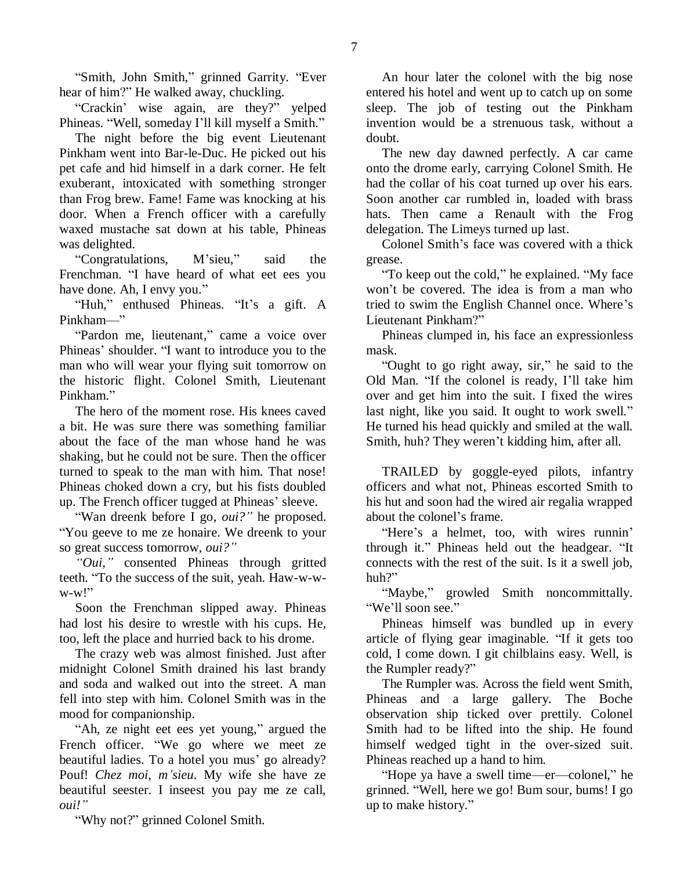"Smith, John Smith," grinned Garrity. "Ever hear of him?" He walked away, chuckling.

"Crackin" wise again, are they?" yelped Phineas. "Well, someday I"ll kill myself a Smith."

The night before the big event Lieutenant Pinkham went into Bar-le-Duc. He picked out his pet cafe and hid himself in a dark corner. He felt exuberant, intoxicated with something stronger than Frog brew. Fame! Fame was knocking at his door. When a French officer with a carefully waxed mustache sat down at his table, Phineas was delighted.

"Congratulations, M"sieu," said the Frenchman. "I have heard of what eet ees you have done. Ah, I envy you."

"Huh," enthused Phineas. "It's a gift. A Pinkham—"

"Pardon me, lieutenant," came a voice over Phineas" shoulder. "I want to introduce you to the man who will wear your flying suit tomorrow on the historic flight. Colonel Smith, Lieutenant Pinkham."

The hero of the moment rose. His knees caved a bit. He was sure there was something familiar about the face of the man whose hand he was shaking, but he could not be sure. Then the officer turned to speak to the man with him. That nose! Phineas choked down a cry, but his fists doubled up. The French officer tugged at Phineas" sleeve.

"Wan dreenk before I go, *oui?"* he proposed. "You geeve to me ze honaire. We dreenk to your so great success tomorrow, *oui?"*

*"Oui,"* consented Phineas through gritted teeth. "To the success of the suit, yeah. Haw-w-w- $W-W$ !"

Soon the Frenchman slipped away. Phineas had lost his desire to wrestle with his cups. He, too, left the place and hurried back to his drome.

The crazy web was almost finished. Just after midnight Colonel Smith drained his last brandy and soda and walked out into the street. A man fell into step with him. Colonel Smith was in the mood for companionship.

"Ah, ze night eet ees yet young," argued the French officer. "We go where we meet ze beautiful ladies. To a hotel you mus' go already? Pouf! *Chez moi, m'sieu*. My wife she have ze beautiful seester. I inseest you pay me ze call, *oui!"*

"Why not?" grinned Colonel Smith.

An hour later the colonel with the big nose entered his hotel and went up to catch up on some sleep. The job of testing out the Pinkham invention would be a strenuous task, without a doubt.

The new day dawned perfectly. A car came onto the drome early, carrying Colonel Smith. He had the collar of his coat turned up over his ears. Soon another car rumbled in, loaded with brass hats. Then came a Renault with the Frog delegation. The Limeys turned up last.

Colonel Smith"s face was covered with a thick grease.

"To keep out the cold," he explained. "My face won"t be covered. The idea is from a man who tried to swim the English Channel once. Where"s Lieutenant Pinkham?"

Phineas clumped in, his face an expressionless mask.

"Ought to go right away, sir," he said to the Old Man. "If the colonel is ready, I"ll take him over and get him into the suit. I fixed the wires last night, like you said. It ought to work swell." He turned his head quickly and smiled at the wall. Smith, huh? They weren't kidding him, after all.

TRAILED by goggle-eyed pilots, infantry officers and what not, Phineas escorted Smith to his hut and soon had the wired air regalia wrapped about the colonel"s frame.

"Here's a helmet, too, with wires runnin" through it." Phineas held out the headgear. "It connects with the rest of the suit. Is it a swell job, huh?"

"Maybe," growled Smith noncommittally. "We"ll soon see."

Phineas himself was bundled up in every article of flying gear imaginable. "If it gets too cold, I come down. I git chilblains easy. Well, is the Rumpler ready?"

The Rumpler was. Across the field went Smith, Phineas and a large gallery. The Boche observation ship ticked over prettily. Colonel Smith had to be lifted into the ship. He found himself wedged tight in the over-sized suit. Phineas reached up a hand to him.

"Hope ya have a swell time—er—colonel," he grinned. "Well, here we go! Bum sour, bums! I go up to make history."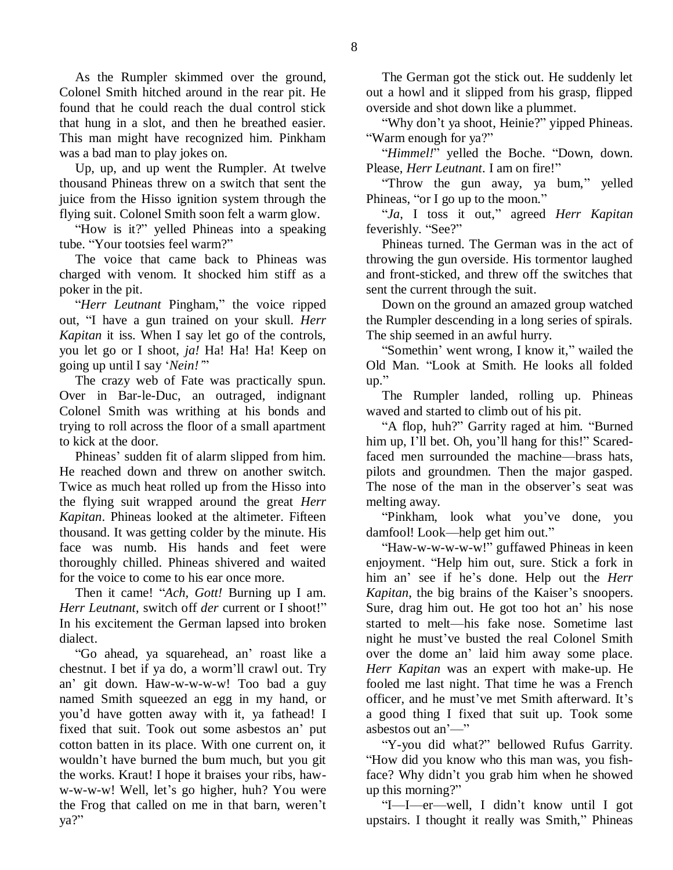As the Rumpler skimmed over the ground, Colonel Smith hitched around in the rear pit. He found that he could reach the dual control stick that hung in a slot, and then he breathed easier. This man might have recognized him. Pinkham was a bad man to play jokes on.

Up, up, and up went the Rumpler. At twelve thousand Phineas threw on a switch that sent the juice from the Hisso ignition system through the flying suit. Colonel Smith soon felt a warm glow.

"How is it?" yelled Phineas into a speaking tube. "Your tootsies feel warm?"

The voice that came back to Phineas was charged with venom. It shocked him stiff as a poker in the pit.

"*Herr Leutnant* Pingham," the voice ripped out, "I have a gun trained on your skull. *Herr Kapitan* it iss. When I say let go of the controls, you let go or I shoot, *ja!* Ha! Ha! Ha! Keep on going up until I say "*Nein!'*"

The crazy web of Fate was practically spun. Over in Bar-le-Duc, an outraged, indignant Colonel Smith was writhing at his bonds and trying to roll across the floor of a small apartment to kick at the door.

Phineas" sudden fit of alarm slipped from him. He reached down and threw on another switch. Twice as much heat rolled up from the Hisso into the flying suit wrapped around the great *Herr Kapitan*. Phineas looked at the altimeter. Fifteen thousand. It was getting colder by the minute. His face was numb. His hands and feet were thoroughly chilled. Phineas shivered and waited for the voice to come to his ear once more.

Then it came! "*Ach, Gott!* Burning up I am. *Herr Leutnant*, switch off *der* current or I shoot!" In his excitement the German lapsed into broken dialect.

"Go ahead, ya squarehead, an" roast like a chestnut. I bet if ya do, a worm"ll crawl out. Try an" git down. Haw-w-w-w-w! Too bad a guy named Smith squeezed an egg in my hand, or you"d have gotten away with it, ya fathead! I fixed that suit. Took out some asbestos an" put cotton batten in its place. With one current on, it wouldn"t have burned the bum much, but you git the works. Kraut! I hope it braises your ribs, haww-w-w-w! Well, let's go higher, huh? You were the Frog that called on me in that barn, weren"t ya?"

The German got the stick out. He suddenly let out a howl and it slipped from his grasp, flipped overside and shot down like a plummet.

"Why don"t ya shoot, Heinie?" yipped Phineas. "Warm enough for ya?"

"*Himmel!*" yelled the Boche. "Down, down. Please, *Herr Leutnant*. I am on fire!"

"Throw the gun away, ya bum," yelled Phineas, "or I go up to the moon."

"*Ja*, I toss it out," agreed *Herr Kapitan* feverishly. "See?"

Phineas turned. The German was in the act of throwing the gun overside. His tormentor laughed and front-sticked, and threw off the switches that sent the current through the suit.

Down on the ground an amazed group watched the Rumpler descending in a long series of spirals. The ship seemed in an awful hurry.

"Somethin" went wrong, I know it," wailed the Old Man. "Look at Smith. He looks all folded up."

The Rumpler landed, rolling up. Phineas waved and started to climb out of his pit.

"A flop, huh?" Garrity raged at him. "Burned him up, I'll bet. Oh, you'll hang for this!" Scaredfaced men surrounded the machine—brass hats, pilots and groundmen. Then the major gasped. The nose of the man in the observer's seat was melting away.

"Pinkham, look what you"ve done, you damfool! Look—help get him out."

"Haw-w-w-w-w-w!" guffawed Phineas in keen enjoyment. "Help him out, sure. Stick a fork in him an" see if he"s done. Help out the *Herr Kapitan*, the big brains of the Kaiser's snoopers. Sure, drag him out. He got too hot an' his nose started to melt—his fake nose. Sometime last night he must"ve busted the real Colonel Smith over the dome an" laid him away some place. *Herr Kapitan* was an expert with make-up. He fooled me last night. That time he was a French officer, and he must"ve met Smith afterward. It"s a good thing I fixed that suit up. Took some asbestos out an"—"

"Y-you did what?" bellowed Rufus Garrity. "How did you know who this man was, you fishface? Why didn"t you grab him when he showed up this morning?"

"I—I—er—well, I didn"t know until I got upstairs. I thought it really was Smith," Phineas